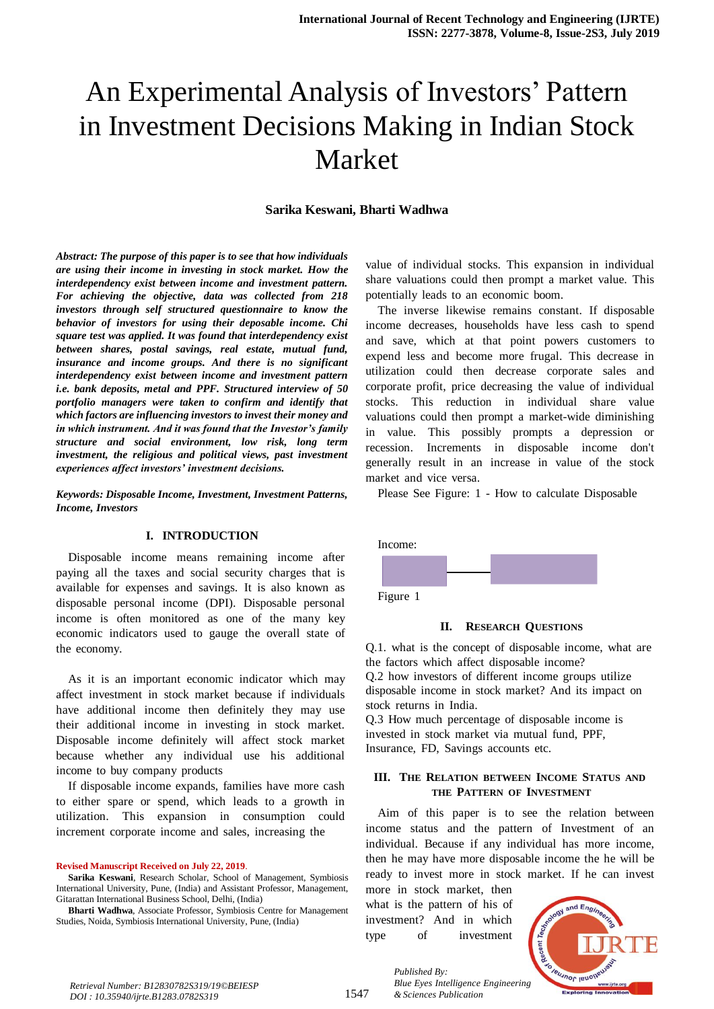## **Sarika Keswani, Bharti Wadhwa**

*Abstract: The purpose of this paper is to see that how individuals are using their income in investing in stock market. How the interdependency exist between income and investment pattern. For achieving the objective, data was collected from 218 investors through self structured questionnaire to know the behavior of investors for using their deposable income. Chi square test was applied. It was found that interdependency exist between shares, postal savings, real estate, mutual fund, insurance and income groups. And there is no significant interdependency exist between income and investment pattern i.e. bank deposits, metal and PPF. Structured interview of 50 portfolio managers were taken to confirm and identify that which factors are influencing investors to invest their money and in which instrument. And it was found that the Investor's family structure and social environment, low risk, long term investment, the religious and political views, past investment experiences affect investors' investment decisions.*

*Keywords: Disposable Income, Investment, Investment Patterns, Income, Investors*

## **I. INTRODUCTION**

Disposable income means remaining income after paying all the taxes and social security charges that is available for expenses and savings. It is also known as disposable personal income (DPI). Disposable personal income is often monitored as one of the many key economic indicators used to gauge the overall state of the economy.

As it is an important economic indicator which may affect investment in stock market because if individuals have additional income then definitely they may use their additional income in investing in stock market. Disposable income definitely will affect stock market because whether any individual use his additional income to buy company products

If disposable income expands, families have more cash to either spare or spend, which leads to a growth in utilization. This expansion in consumption could increment corporate income and sales, increasing the

**Revised Manuscript Received on July 22, 2019**.

**Sarika Keswani**, Research Scholar, School of Management, Symbiosis International University, Pune, (India) and Assistant Professor, Management, Gitarattan International Business School, Delhi, (India)

**Bharti Wadhwa**, Associate Professor, Symbiosis Centre for Management Studies, Noida, Symbiosis International University, Pune, (India)

value of individual stocks. This expansion in individual share valuations could then prompt a market value. This potentially leads to an economic boom.

The inverse likewise remains constant. If disposable income decreases, households have less cash to spend and save, which at that point powers customers to expend less and become more frugal. This decrease in utilization could then decrease corporate sales and corporate profit, price decreasing the value of individual stocks. This reduction in individual share value valuations could then prompt a market-wide diminishing in value. This possibly prompts a depression or recession. Increments in disposable income don't generally result in an increase in value of the stock market and vice versa.

Please See Figure: 1 - How to calculate Disposable



#### **II.** RESEARCH QUESTIONS

Q.1. what is the concept of disposable income, what are the factors which affect disposable income?  $Q.2$  how investors of different income groups utilize disposable income in stock market? And its impact on stock returns in India.

 $O.3$  How much percentage of disposable income is invested in stock market via mutual fund, PPF, Insurance, FD, Savings accounts etc.

## **III.** THE RELATION BETWEEN INCOME STATUS AND **THETPATTERNTOFTINVESTMENT**

Aim of this paper is to see the relation between income status and the pattern of Investment of an individual. Because if any individual has more income, then he may have more disposable income the he will be ready to invest more in stock market. If he can invest

more in stock market, then what is the pattern of his of investment? And in which type of investment



*Retrieval Number: B12830782S319/19©BEIESP DOI : 10.35940/ijrte.B1283.0782S319*

*Published By: Blue Eyes Intelligence Engineering & Sciences Publication*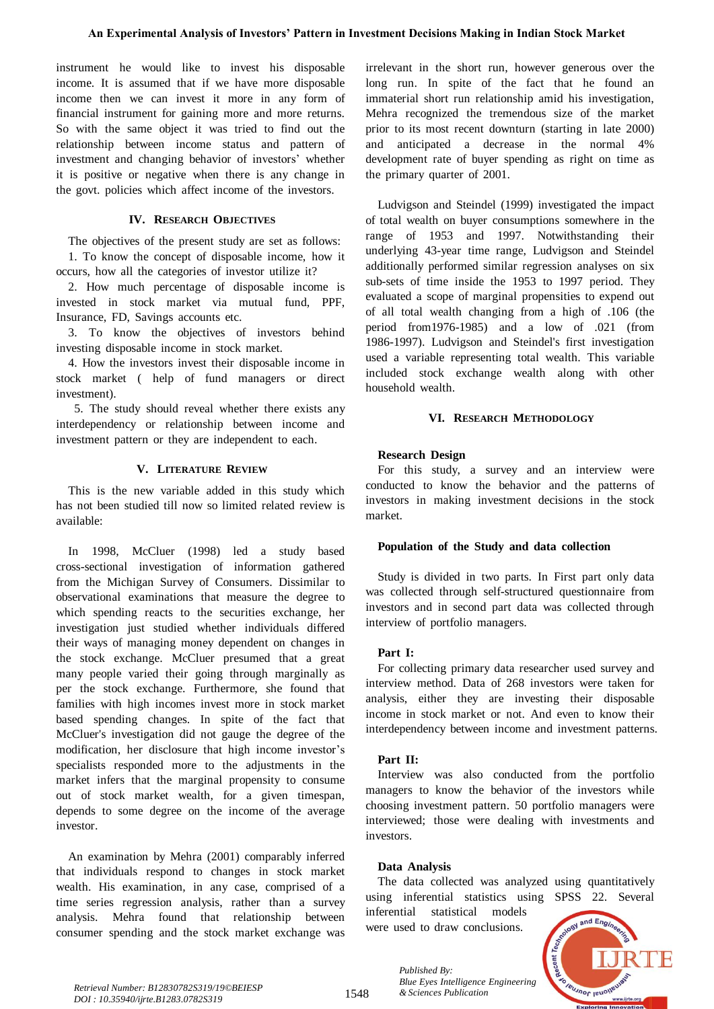instrument he would like to invest his disposable income. It is assumed that if we have more disposable income then we can invest it more in any form of financial instrument for gaining more and more returns. So with the same object it was tried to find out the relationship between income status and pattern of investment and changing behavior of investors' whether it is positive or negative when there is any change in the govt. policies which affect income of the investors.

## **IV. RESEARCH OBJECTIVES**

The objectives of the present study are set as follows:

1. To know the concept of disposable income, how it occurs, how all the categories of investor utilize it?

2. How much percentage of disposable income is invested in stock market via mutual fund, PPF, Insurance, FD, Savings accounts etc.

3. To know the objectives of investors behind investing disposable income in stock market.

4. How the investors invest their disposable income in stock market ( help of fund managers or direct investment).

5. The study should reveal whether there exists any interdependency or relationship between income and investment pattern or they are independent to each.

### **V.** LITERATURE REVIEW

This is the new variable added in this study which has not been studied till now so limited related review is available<sup>.</sup>

In 1998, McCluer (1998) led a study based cross-sectional investigation of information gathered from the Michigan Survey of Consumers. Dissimilar to observational examinations that measure the degree to which spending reacts to the securities exchange, her investigation just studied whether individuals differed their ways of managing money dependent on changes in the stock exchange. McCluer presumed that a great many people varied their going through marginally as per the stock exchange. Furthermore, she found that families with high incomes invest more in stock market based spending changes. In spite of the fact that McCluer's investigation did not gauge the degree of the modification, her disclosure that high income investor's specialists responded more to the adjustments in the market infers that the marginal propensity to consume out of stock market wealth, for a given timespan, depends to some degree on the income of the average investor.

An examination by Mehra (2001) comparably inferred that individuals respond to changes in stock market wealth. His examination, in any case, comprised of a time series regression analysis, rather than a survey analysis. Mehra found that relationship between consumer spending and the stock market exchange was

irrelevant in the short run, however generous over the long run. In spite of the fact that he found an immaterial short run relationship amid his investigation, Mehra recognized the tremendous size of the market prior to its most recent downturn (starting in late 2000) and anticipated a decrease in the normal 4% development rate of buyer spending as right on time as the primary quarter of 2001.

Ludvigson and Steindel (1999) investigated the impact of total wealth on buyer consumptions somewhere in the range of 1953 and 1997. Notwithstanding their underlying 43-year time range, Ludvigson and Steindel additionally performed similar regression analyses on six sub-sets of time inside the 1953 to 1997 period. They evaluated a scope of marginal propensities to expend out of all total wealth changing from a high of  $.106$  (the period from 1976-1985) and a low of  $.021$  (from 1986-1997). Ludvigson and Steindel's first investigation used a variable representing total wealth. This variable included stock exchange wealth along with other household wealth.

## **VI. RESEARCHTMETHODOLOGY**

## **ResearchDesign**

For this study, a survey and an interview were conducted to know the behavior and the patterns of investors in making investment decisions in the stock market.

### **Population** of the Study and data collection

Study is divided in two parts. In First part only data was collected through self-structured questionnaire from investors and in second part data was collected through interview of portfolio managers.

### **PartI**:

For collecting primary data researcher used survey and interview method. Data of 268 investors were taken for analysis, either they are investing their disposable income in stock market or not. And even to know their interdependency between income and investment patterns.

## Part **II:**

Interview was also conducted from the portfolio managers to know the behavior of the investors while choosing investment pattern. 50 portfolio managers were interviewed; those were dealing with investments and investors.

### **Data Analysis**

*Published By:*

The data collected was analyzed using quantitatively using inferential statistics using SPSS 22. Several

inferential statistical models were used to draw conclusions.

*Blue Eyes Intelligence Engineering* 



*& Sciences Publication Retrieval Number: B12830782S319/19©BEIESP DOI : 10.35940/ijrte.B1283.0782S319*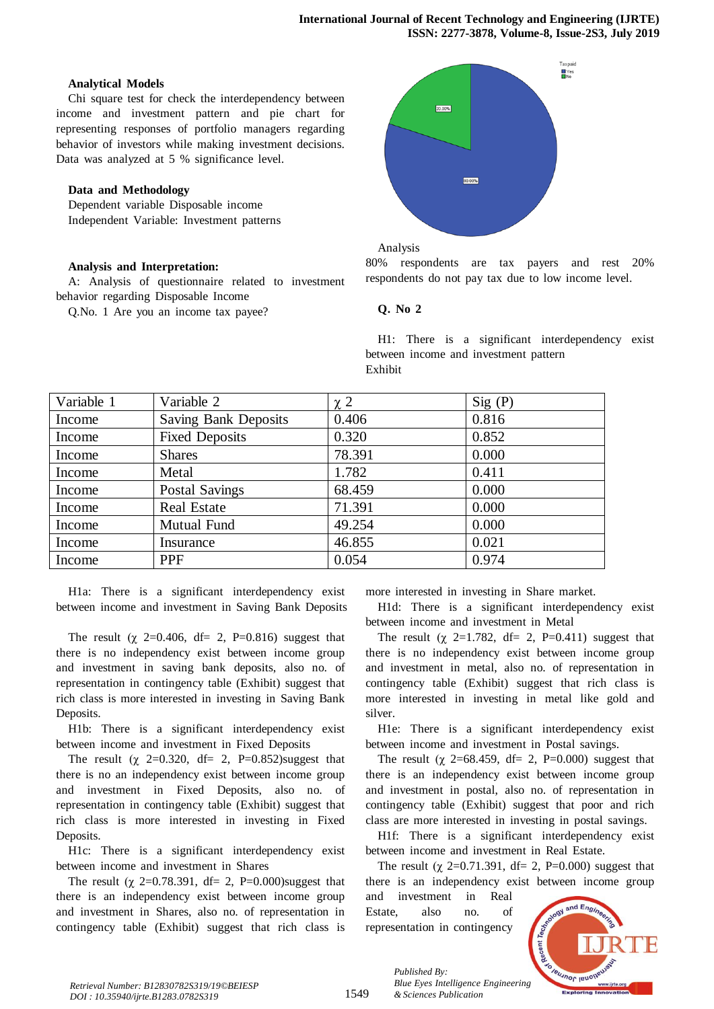## **Analytical Models**

Chi square test for check the interdependency between income and investment pattern and pie chart for representing responses of portfolio managers regarding behavior of investors while making investment decisions. Data was analyzed at  $5%$  significance level.

## **Data** and **Methodology**

Dependent variable Disposable income Independent Variable: Investment patterns

# **Analysis** and **Interpretation:**

A: Analysis of questionnaire related to investment behavior regarding Disposable Income

Q.No. 1 Are you an income tax payee?



Analysis

80% respondents are tax payers and rest 20% respondents do not pay tax due to low income level.

## **Q. No** 2

H1: There is a significant interdependency exist between income and investment pattern Exhibit

| Variable 1 | Variable 2                  | $\chi$ 2 | Sig(P) |
|------------|-----------------------------|----------|--------|
| Income     | <b>Saving Bank Deposits</b> | 0.406    | 0.816  |
| Income     | <b>Fixed Deposits</b>       | 0.320    | 0.852  |
| Income     | <b>Shares</b>               | 78.391   | 0.000  |
| Income     | Metal                       | 1.782    | 0.411  |
| Income     | <b>Postal Savings</b>       | 68.459   | 0.000  |
| Income     | <b>Real Estate</b>          | 71.391   | 0.000  |
| Income     | Mutual Fund                 | 49.254   | 0.000  |
| Income     | Insurance                   | 46.855   | 0.021  |
| Income     | <b>PPF</b>                  | 0.054    | 0.974  |

H1a: There is a significant interdependency exist between income and investment in Saving Bank Deposits

The result ( $\chi$  2=0.406, df= 2, P=0.816) suggest that there is no independency exist between income group and investment in saving bank deposits, also no. of representation in contingency table (Exhibit) suggest that rich class is more interested in investing in Saving Bank Deposits.

H1b: There is a significant interdependency exist between income and investment in Fixed Deposits

The result ( $\chi$  2=0.320, df= 2, P=0.852)suggest that there is no an independency exist between income group and investment in Fixed Deposits, also no. of representation in contingency table (Exhibit) suggest that rich class is more interested in investing in Fixed Deposits.

H1c: There is a significant interdependency exist between income and investment in Shares

The result ( $\chi$  2=0.78.391, df= 2, P=0.000)suggest that there is an independency exist between income group and investment in Shares, also no. of representation in contingency table (Exhibit) suggest that rich class is more interested in investing in Share market.

H1d: There is a significant interdependency exist between income and investment in Metal

The result ( $\chi$  2=1.782, df= 2, P=0.411) suggest that there is no independency exist between income group and investment in metal, also no. of representation in contingency table (Exhibit) suggest that rich class is more interested in investing in metal like gold and silver.

H1e: There is a significant interdependency exist between income and investment in Postal savings.

The result ( $\chi$  2=68.459, df= 2, P=0.000) suggest that there is an independency exist between income group and investment in postal, also no. of representation in contingency table (Exhibit) suggest that poor and rich class are more interested in investing in postal savings.

H1f: There is a significant interdependency exist between income and investment in Real Estate.

The result ( $\chi$  2=0.71.391, df= 2, P=0.000) suggest that there is an independency exist between income group

and investment in Real Estate, also no. of representation in contingency

*& Sciences Publication* 

*Published By:*



1549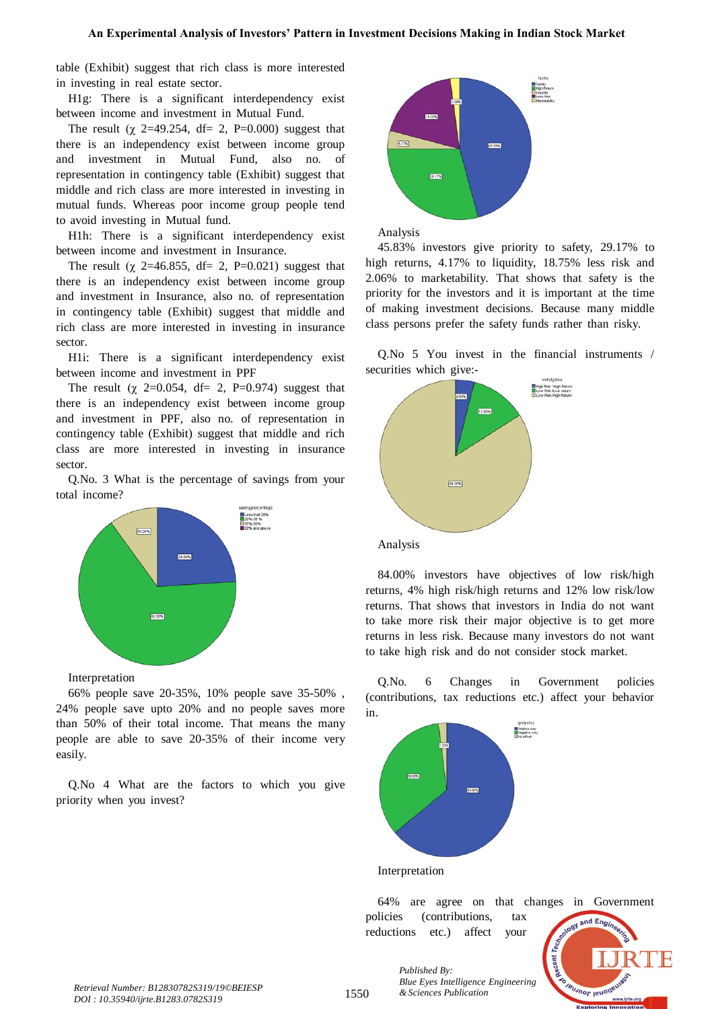table (Exhibit) suggest that rich class is more interested in investing in real estate sector.

H1g: There is a significant interdependency exist between income and investment in Mutual Fund.

The result ( $\chi$  2=49.254, df= 2, P=0.000) suggest that there is an independency exist between income group and investment in Mutual Fund, also no. of representation in contingency table (Exhibit) suggest that middle and rich class are more interested in investing in mutual funds. Whereas poor income group people tend to avoid investing in Mutual fund.

H1h: There is a significant interdependency exist between income and investment in Insurance.

The result ( $\chi$  2=46.855, df= 2, P=0.021) suggest that there is an independency exist between income group and investment in Insurance, also no. of representation in contingency table (Exhibit) suggest that middle and rich class are more interested in investing in insurance sector.

H1i: There is a significant interdependency exist between income and investment in PPF

The result ( $\chi$  2=0.054, df= 2, P=0.974) suggest that there is an independency exist between income group and investment in PPF, also no. of representation in contingency table (Exhibit) suggest that middle and rich class are more interested in investing in insurance sector.

Q.No. 3 What is the percentage of savings from your total income?



### Interpretation

66% people save 20-35%, 10% people save 35-50%, 24% people save upto 20% and no people saves more than 50% of their total income. That means the many people are able to save 20-35% of their income very easily.

Q.No 4 What are the factors to which you give priority when you invest?



Analysis

45.83% investors give priority to safety, 29.17% to high returns, 4.17% to liquidity, 18.75% less risk and 2.06% to marketability. That shows that safety is the priority for the investors and it is important at the time of making investment decisions. Because many middle class persons prefer the safety funds rather than risky.

Q.No  $5$  You invest in the financial instruments / securities which give:-



84.00% investors have objectives of low risk/high returns, 4% high risk/high returns and 12% low risk/low returns. That shows that investors in India do not want to take more risk their major objective is to get more returns in less risk. Because many investors do not want to take high risk and do not consider stock market.

Q.No. 6 Changes in Government policies (contributions, tax reductions etc.) affect your behavior in.



Interpretation

64% are agree on that changes in Government policies (contributions, tax

Recent 7 **IBUJNOT IBUON** 

*Published By: Blue Eyes Intelligence Engineering* 

reductions etc.) affect your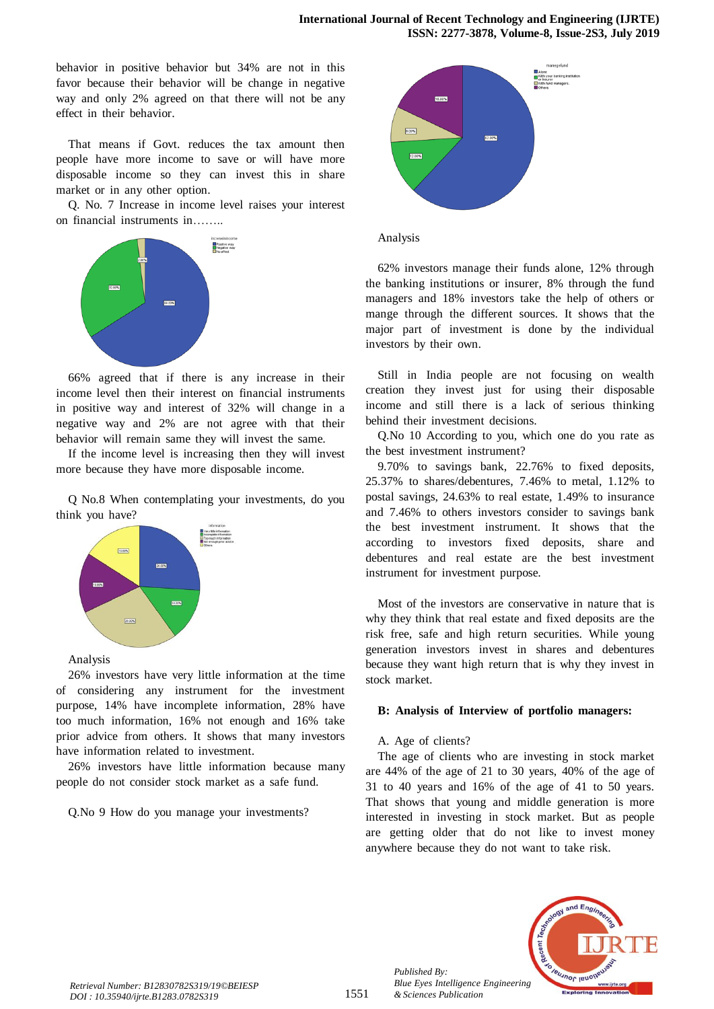behavior in positive behavior but 34% are not in this favor because their behavior will be change in negative way and only 2% agreed on that there will not be any effect in their behavior.

That means if Govt. reduces the tax amount then people have more income to save or will have more disposable income so they can invest this in share market or in any other option.

Q. No. 7 Increase in income level raises your interest on financial instruments in……..



 $66\%$  agreed that if there is any increase in their income level then their interest on financial instruments in positive way and interest of  $32\%$  will change in a negative way and  $2\%$  are not agree with that their behavior will remain same they will invest the same.

If the income level is increasing then they will invest more because they have more disposable income.

Q No.8 When contemplating your investments, do you think you have?



### Analysis

26% investors have very little information at the time of considering any instrument for the investment purpose, 14% have incomplete information, 28% have too much information, 16% not enough and 16% take prior advice from others. It shows that many investors have information related to investment.

26% investors have little information because many people do not consider stock market as a safe fund.

Q.No 9 How do you manage your investments?



### Analysis

 $62\%$  investors manage their funds alone,  $12\%$  through the banking institutions or insurer, 8% through the fund managers and 18% investors take the help of others or mange through the different sources. It shows that the major part of investment is done by the individual investors by their own.

Still in India people are not focusing on wealth creation they invest just for using their disposable income and still there is a lack of serious thinking behind their investment decisions.

Q.No 10 According to you, which one do you rate as the best investment instrument?

9.70% to savings bank,  $22.76%$  to fixed deposits,  $25.37\%$  to shares/debentures,  $7.46\%$  to metal,  $1.12\%$  to postal savings,  $24.63\%$  to real estate,  $1.49\%$  to insurance and 7.46% to others investors consider to savings bank the best investment instrument. It shows that the according to investors fixed deposits, share and debentures and real estate are the best investment instrument for investment purpose.

Most of the investors are conservative in nature that is why they think that real estate and fixed deposits are the risk free, safe and high return securities. While young generation investors invest in shares and debentures because they want high return that is why they invest in stock market.

### **B:** Analysis of Interview of portfolio managers:

### A. Age of clients?

*Published By:*

*& Sciences Publication* 

The age of clients who are investing in stock market are  $44\%$  of the age of 21 to 30 years,  $40\%$  of the age of 31 to 40 years and  $16\%$  of the age of 41 to 50 years. That shows that young and middle generation is more interested in investing in stock market. But as people are getting older that do not like to invest money anywhere because they do not want to take risk.

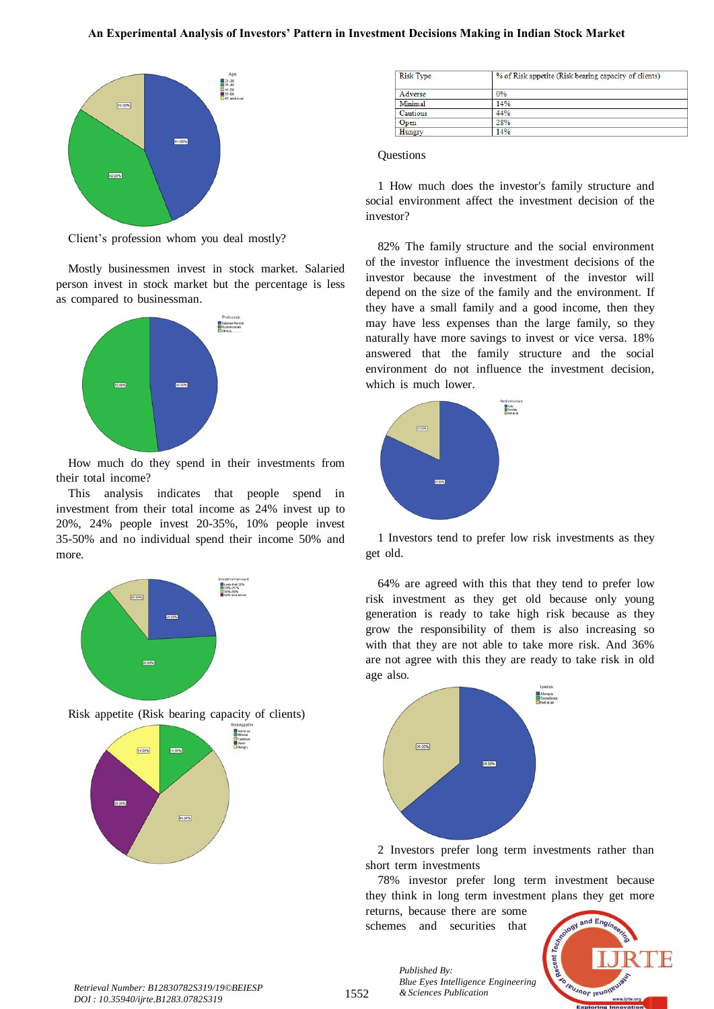

Client's profession whom you deal mostly?

Mostly businessmen invest in stock market. Salaried person invest in stock market but the percentage is less as compared to businessman.



How much do they spend in their investments from their total income?

This analysis indicates that people spend in investment from their total income as 24% invest up to  $20\%$ ,  $24\%$  people invest  $20-35\%$ ,  $10\%$  people invest  $35-50\%$  and no individual spend their income  $50\%$  and more.



Risk appetite (Risk bearing capacity of clients)



| <b>Risk Type</b> | % of Risk appetite (Risk bearing capacity of clients) |
|------------------|-------------------------------------------------------|
| Adverse          | 0%                                                    |
| Minimal          | 14%                                                   |
| <b>Cautious</b>  | 44%                                                   |
| Open             | 28%                                                   |
| Hungry           | 14%                                                   |

#### **Ouestions**

1 How much does the investor's family structure and social environment affect the investment decision of the investor?

82% The family structure and the social environment of the investor influence the investment decisions of the investor because the investment of the investor will depend on the size of the family and the environment. If they have a small family and a good income, then they may have less expenses than the large family, so they naturally have more savings to invest or vice versa. 18% answered that the family structure and the social environment do not influence the investment decision, which is much lower.



1 Investors tend to prefer low risk investments as they get old.

64% are agreed with this that they tend to prefer low risk investment as they get old because only young generation is ready to take high risk because as they grow the responsibility of them is also increasing so with that they are not able to take more risk. And 36% are not agree with this they are ready to take risk in old age also.



2 Investors prefer long term investments rather than short term investments

78% investor prefer long term investment because they think in long term investment plans they get more returns, because there are some

schemes and securities that

*Blue Eyes Intelligence Engineering* 

*Published By:*



*& Sciences Publication Retrieval Number: B12830782S319/19©BEIESP DOI : 10.35940/ijrte.B1283.0782S319*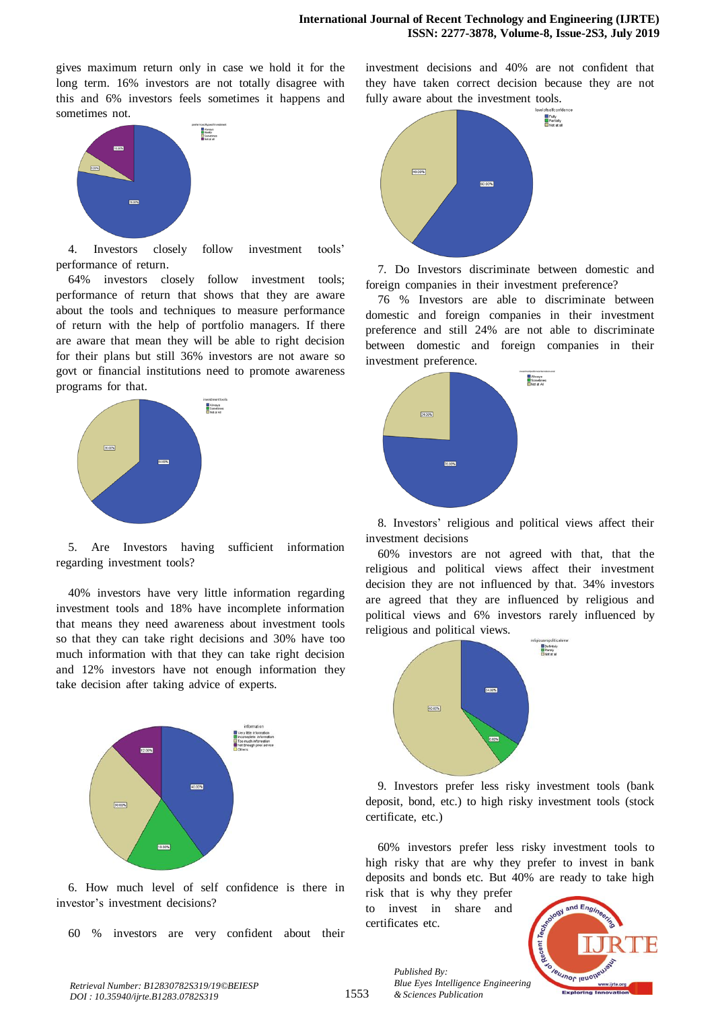gives maximum return only in case we hold it for the long term. 16% investors are not totally disagree with this and 6% investors feels sometimes it happens and sometimes not.



4. Investors closely follow investment tools' performance of return.

64% investors closely follow investment tools; performance of return that shows that they are aware about the tools and techniques to measure performance of return with the help of portfolio managers. If there are aware that mean they will be able to right decision for their plans but still 36% investors are not aware so govt or financial institutions need to promote awareness programs for that.



5. Are Investors having sufficient information regarding investment tools?

40% investors have very little information regarding investment tools and 18% have incomplete information that means they need awareness about investment tools so that they can take right decisions and 30% have too much information with that they can take right decision and 12% investors have not enough information they take decision after taking advice of experts.



6. How much level of self confidence is there in investor's investment decisions?

 $60\%$  investors are very confident about their

investment decisions and 40% are not confident that they have taken correct decision because they are not fully aware about the investment tools.



7. Do Investors discriminate between domestic and foreign companies in their investment preference?

76 % Investors are able to discriminate between domestic and foreign companies in their investment preference and still 24% are not able to discriminate between domestic and foreign companies in their investment preference.



8. Investors' religious and political views affect their investment decisions

 $60\%$  investors are not agreed with that, that the religious and political views affect their investment decision they are not influenced by that. 34% investors are agreed that they are influenced by religious and political views and 6% investors rarely influenced by religious and political views.



9. Investors prefer less risky investment tools (bank deposit, bond, etc.) to high risky investment tools (stock certificate, etc.)

 $60\%$  investors prefer less risky investment tools to high risky that are why they prefer to invest in bank deposits and bonds etc. But 40% are ready to take high

risk that is why they prefer to invest in share and certificates etc.



1553 *Published By: Blue Eyes Intelligence Engineering & Sciences Publication*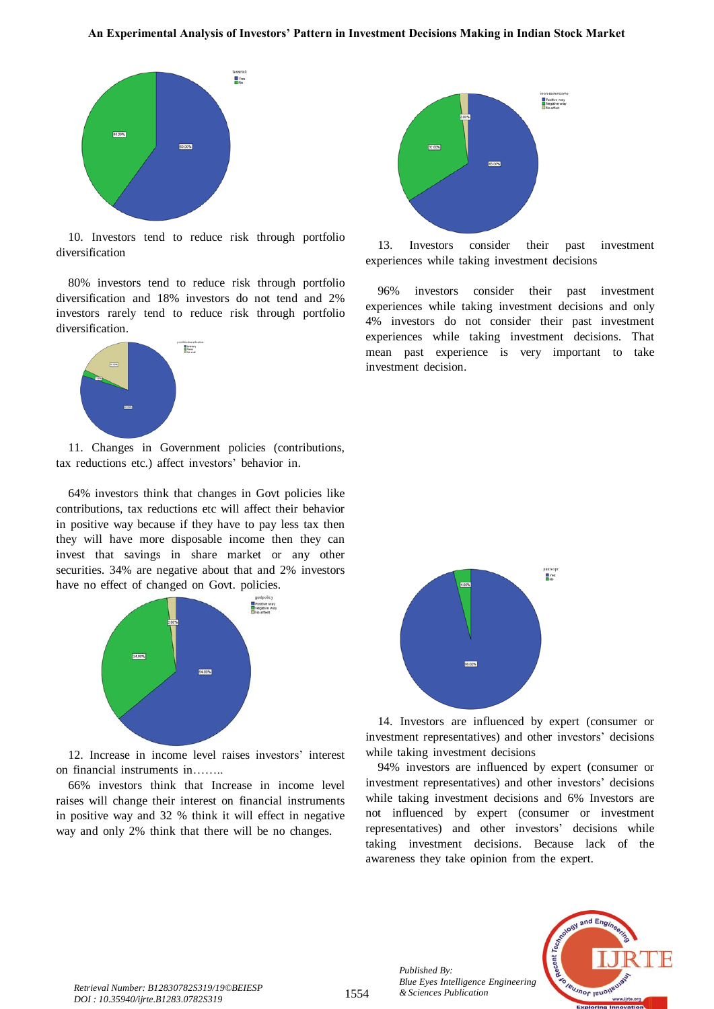

10. Investors tend to reduce risk through portfolio diversification

 $80\%$  investors tend to reduce risk through portfolio diversification and 18% investors do not tend and 2% investors rarely tend to reduce risk through portfolio diversification.



11. Changes in Government policies (contributions, tax reductions etc.) affect investors' behavior in.

64% investors think that changes in Govt policies like contributions, tax reductions etc will affect their behavior in positive way because if they have to pay less tax then they will have more disposable income then they can invest that savings in share market or any other securities. 34% are negative about that and 2% investors have no effect of changed on Govt. policies.



12. Increase in income level raises investors' interest on financial instruments in……..

66% investors think that Increase in income level raises will change their interest on financial instruments in positive way and 32 % think it will effect in negative way and only 2% think that there will be no changes.



13. Investors consider their past investment experiences while taking investment decisions

96% investors consider their past investment experiences while taking investment decisions and only 4% investors do not consider their past investment experiences while taking investment decisions. That mean past experience is very important to take investment decision.



14. Investors are influenced by expert (consumer or investment representatives) and other investors' decisions while taking investment decisions

94% investors are influenced by expert (consumer or investment representatives) and other investors' decisions while taking investment decisions and 6% Investors are not influenced by expert (consumer or investment representatives) and other investors' decisions while taking investment decisions. Because lack of the awareness they take opinion from the expert.



*Published By:*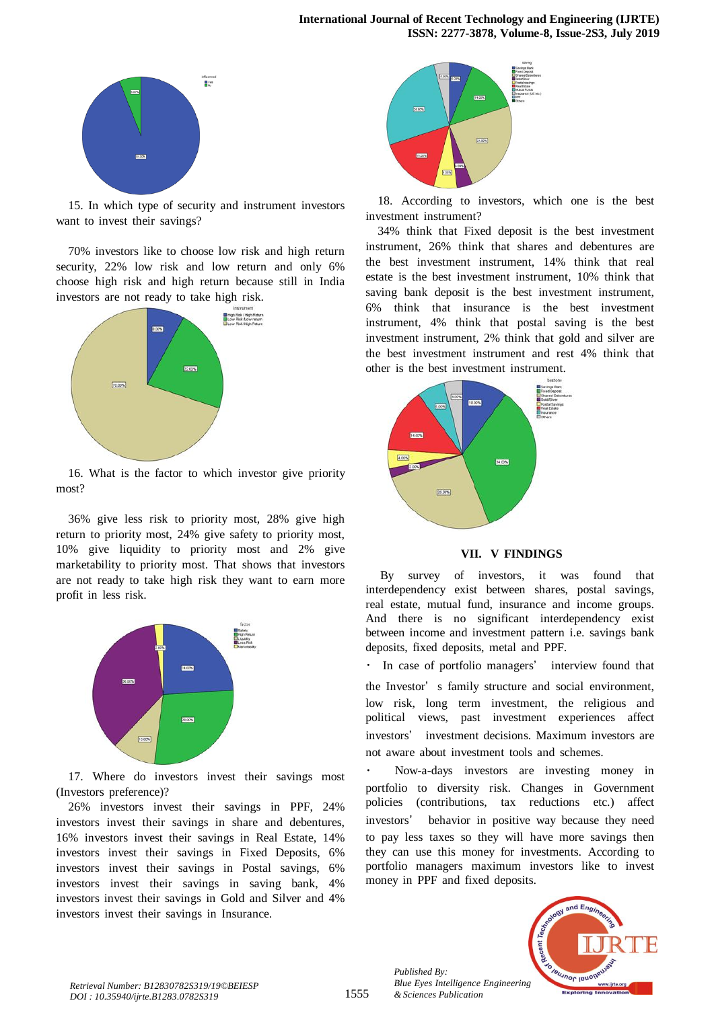

15. In which type of security and instrument investors want to invest their savings?

70% investors like to choose low risk and high return security, 22% low risk and low return and only 6% choose high risk and high return because still in India investors are not ready to take high risk.



16. What is the factor to which investor give priority most?

36% give less risk to priority most, 28% give high return to priority most, 24% give safety to priority most, 10% give liquidity to priority most and  $2\%$  give marketability to priority most. That shows that investors are not ready to take high risk they want to earn more profit in less risk.



17. Where do investors invest their savings most (Investors preference)?

26% investors invest their savings in PPF, 24% investors invest their savings in share and debentures, 16% investors invest their savings in Real Estate, 14% investors invest their savings in Fixed Deposits, 6% investors invest their savings in Postal savings, 6% investors invest their savings in saving bank, 4% investors invest their savings in Gold and Silver and 4% investors invest their savings in Insurance.



18. According to investors, which one is the best investment instrument?

34% think that Fixed deposit is the best investment instrument, 26% think that shares and debentures are the best investment instrument, 14% think that real estate is the best investment instrument, 10% think that saving bank deposit is the best investment instrument,  $6\%$  think that insurance is the best investment instrument, 4% think that postal saving is the best investment instrument, 2% think that gold and silver are the best investment instrument and rest 4% think that other is the best investment instrument.



**VII. VTFINDINGS**

By survey of investors, it was found that interdependency exist between shares, postal savings, real estate, mutual fund, insurance and income groups. And there is no significant interdependency exist between income and investment pattern i.e. savings bank deposits, fixed deposits, metal and PPF.

In case of portfolio managers' interview found that

the Investor' s family structure and social environment, low risk, long term investment, the religious and political views, past investment experiences affect investors' investment decisions. Maximum investors are not aware about investment tools and schemes.

Now-a-days investors are investing money in portfolio to diversity risk. Changes in Government policies (contributions, tax reductions etc.) affect investors' behavior in positive way because they need to pay less taxes so they will have more savings then they can use this money for investments. According to portfolio managers maximum investors like to invest money in PPF and fixed deposits.



*Published By:*

*& Sciences Publication*